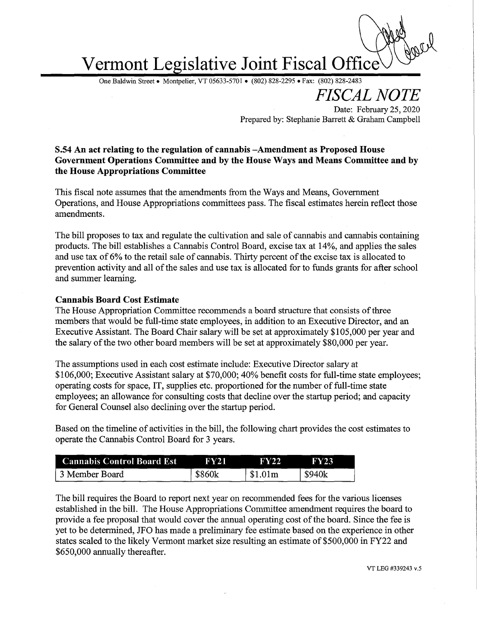# Vermont Legislative Joint Fiscal Office

One Baldwin Street • Montpelier, VT 05633-5701 • (802) 828-2295 •Fax: (802) 828-2483

FISCAL NOTE

Date: February 25, 2020 Prepared by: Stephanie Barrett & Graham Campbell

## 5.54 An act relating to the regulation of cannabis —Amendment as Proposed House Government Operations Committee and by the House Ways and Means Committee and by the House Appropriations Committee

This fiscal note assumes that the amendments from the Ways and Means, Government Operations, and House Appropriations committees pass. The fiscal estimates herein reflect those amendments.

The bill proposes to tax and regulate the cultivation and sale of cannabis and cannabis containing products. The bill establishes a Cannabis Control Board, excise tax at 14%, and applies the sales and use tax of 6% to the retail sale of cannabis. Thirty percent of the excise tax is allocated to prevention activity and all of the sales and use tax is allocated for to funds grants for after school and summer learning.

#### Cannabis Board Cost Estimate

The House Appropriation Committee recommends a board structure that consists of three members that would be full-time state employees, in addition to an Executive Director, and an Executive Assistant. The Board Chair salary will be set at approximately \$105,000 per year and the salary of the two other board members will be set at approximately \$80,000 per yeax.

The assumptions used in each cost estimate include: Executive Director salary at \$106,000; Executive Assistant salary at \$70,000; 40%benefit costs for full-time state employees; operating costs for space, IT, supplies etc. proportioned for the number of full-time state employees; an allowance for consulting costs that decline over the startup period; and capacity for General Counsel also declining over the startup period.

Based on the timeline of activities in the bill, the following chart provides the cost estimates to operate the Cannabis Control Board for 3 years.

| <b>Cannabis Control Board Est</b> | FY21   | FY22    | FY23   |
|-----------------------------------|--------|---------|--------|
| 13 Member Board                   | \$860k | \$1.01m | \$940k |

The bill requires the Board to report next year on recommended fees for the various licenses established in the bill. The House Appropriations Committee amendment requires the board to provide a fee proposal that would cover the annual operating cost of the board. Since the fee is yet to be determined, JFO has made a preliminary fee estimate based on the experience in other states scaled to the likely Vermont market size resulting an estimate of \$500,000 in FY22 and \$650,000 annually thereafter.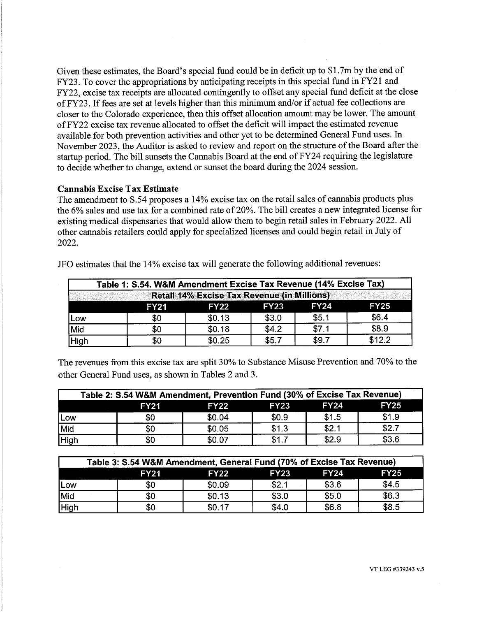Given these estimates, the Board's special fund could be in deficit up to \$1.7m by the end of FY23. To cover the appropriations by anticipating receipts in this special fund in FY21 and FY22, excise tax receipts are allocated contingently to offset any special fund deficit at the close of FY23. If fees are set at levels higher than this minimum and/or if actual fee collections are closer to the Colorado experience, then this offset allocation amount may be lower. The amount of FY22 excise tax revenue allocated to offset the deficit will impact the estimated revenue available for both prevention activities and other yet to be determined General Fund uses. In November 2023, the Auditor is asked to review and report on the structure of the Board after the startup period. The bill sunsets the Cannabis Board at the end of FY24 requiring the legislature to decide whether to change, extend or sunset the board during the 2024 session.

### Cannabis Excise Tax Estimate

The amendment to 5.54 proposes a 14% excise tax on the retail sales of cannabis products plus the 6% sales and use tax for a combined rate of 20%. The bill creates a new integrated license for existing medical dispensaries that would allow them to begin retail sales in February 2022. All other cannabis retailers could apply for specialized licenses and could begin retail in July of 2022.

| Table 1: S.54. W&M Amendment Excise Tax Revenue (14% Excise Tax)<br><b>Retail 14% Excise Tax Revenue (in Millions)</b> |     |        |       |       |        |  |
|------------------------------------------------------------------------------------------------------------------------|-----|--------|-------|-------|--------|--|
|                                                                                                                        |     |        |       |       |        |  |
| Low                                                                                                                    | \$0 | \$0.13 | \$3.0 | \$5.1 | \$6.4  |  |
| Mid                                                                                                                    | \$0 | \$0.18 | \$4.2 | \$7.1 | \$8.9  |  |
| <b>High</b>                                                                                                            | \$0 | \$0.25 | \$5.7 | \$9.7 | \$12.2 |  |

JFO estimates that the 14% excise tax will generate the following additional revenues:

The revenues from this excise tax are split 30% to Substance Misuse Prevention and 70% to the other General Fund uses, as shown in Tables 2 and 3.

| Table 2: S.54 W&M Amendment, Prevention Fund (30% of Excise Tax Revenue) |             |             |             |             |             |
|--------------------------------------------------------------------------|-------------|-------------|-------------|-------------|-------------|
|                                                                          | <b>FY21</b> | <b>FY22</b> | <b>FY23</b> | <b>FY24</b> | <b>FY25</b> |
| Low                                                                      | \$0         | \$0.04      | \$0.9       | \$1.5       | \$1.9       |
| Mid                                                                      | \$0         | \$0.05      | \$1.3       | \$2.1       | \$2.7       |
| High                                                                     | \$0         | \$0.07      | \$1.7       | \$2.9       | \$3.6       |

| Table 3: S.54 W&M Amendment, General Fund (70% of Excise Tax Revenue) |             |             |             |             |             |
|-----------------------------------------------------------------------|-------------|-------------|-------------|-------------|-------------|
|                                                                       | <b>FY21</b> | <b>FY22</b> | <b>FY23</b> | <b>FY24</b> | <b>FY25</b> |
| Low                                                                   | \$0         | \$0.09      | \$2.1       | \$3.6       | \$4.5       |
| Mid                                                                   | \$0         | \$0.13      | \$3.0       | \$5.0       | \$6.3       |
| High                                                                  | \$0         | \$0.17      | \$4.0       | \$6.8       | \$8.5       |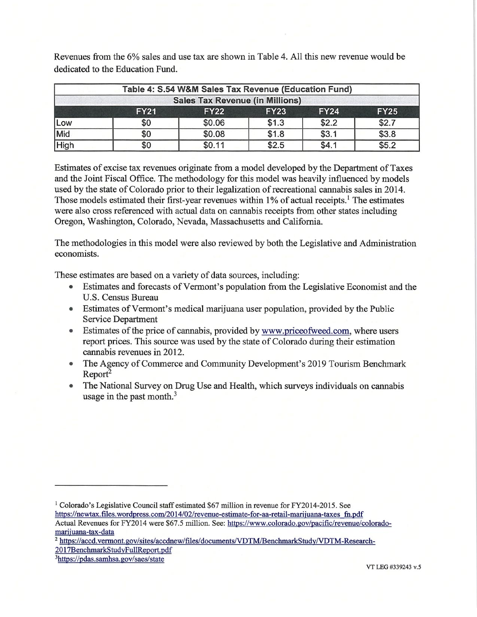Revenues from the 6% sales and use tax are shown in Table 4. All this new revenue would be dedicated to the Education Fund.

| Table 4: S.54 W&M Sales Tax Revenue (Education Fund)<br><b>Sales Tax Revenue (in Millions)</b> |     |        |       |       |       |
|------------------------------------------------------------------------------------------------|-----|--------|-------|-------|-------|
|                                                                                                |     |        |       |       |       |
| Low                                                                                            | \$0 | \$0.06 | \$1.3 | \$2.2 | \$2.7 |
| Mid                                                                                            | \$0 | \$0.08 | \$1.8 | \$3.1 | \$3.8 |
| High                                                                                           | \$0 | \$0.11 | \$2.5 | \$4.1 | \$5.2 |

Estimates of excise tax revenues originate from a model developed by the Department of Taxes and the Joint Fiscal Office. The methodology for this model was heavily influenced by models used by the state of Colorado prior to their legalization of recreational cannabis sales in 2014. Those models estimated their first-year revenues within  $1\%$  of actual receipts.<sup>1</sup> The estimates were also cross referenced with actual data on cannabis receipts from other states including Oregon, Washington, Colorado, Nevada, Massachusetts and California.

The methodologies in this model were also reviewed by both the Legislative and Administration economists.

These estimates are based on a variety of data sources, including:

- Estimates and forecasts of Vermont's population from the Legislative Economist and the U.S. Census Bureau
- Estimates of Vermont's medical marijuana user population, provided by the Public Service Department
- Estimates of the price of cannabis, provided by www.priceofweed.com, where users report prices. This source was used by the state of Colorado during their estimation cannabis revenues in 2012.
- The Agency of Commerce and Community Development's 2019 Tourism Benchmark  $Report<sup>2</sup>$
- The National Survey on Drug Use and Health, which surveys individuals on cannabis usage in the past month. $3$

2017BenchmarkStudvFullReport.pdf

<sup>&</sup>lt;sup>1</sup> Colorado's Legislative Council staff estimated \$67 million in revenue for FY2014-2015. See

https://newtax.files.wordpress.com/2014/02/revenue-estimate-for-aa-retail-marijuana-taxes fn.pdf

Actual Revenues for FY2014 were \$67.5 million. See: https://www.colorado.gov/pacific/revenue/coloradomarijuana-tax-data

<sup>&</sup>lt;sup>2</sup> https://accd.vermont.gov/sites/accdnew/files/documents/VDTM/BenchmarkStudy/VDTM-Research-

<sup>3</sup>https://pdas. samhsa. gov/saes/state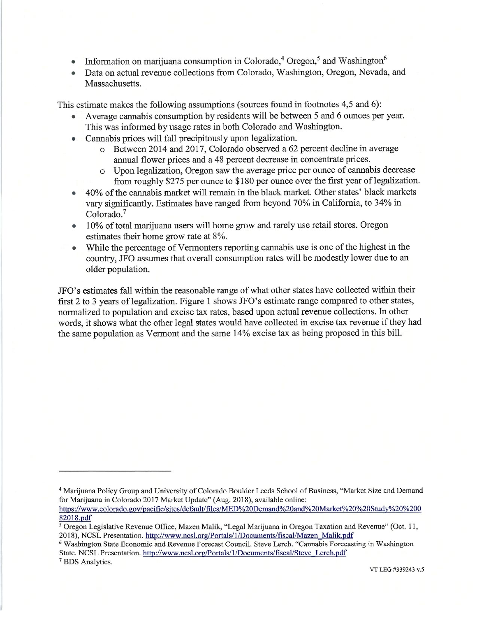- Information on marijuana consumption in Colorado,<sup>4</sup> Oregon,<sup>5</sup> and Washington<sup>6</sup>
- Data on actual revenue collections from Colorado, Washington, Oregon, Nevada, and Massachusetts.

This estimate makes the following assumptions (sources found in footnotes 4,5 and 6):

- Average cannabis consumption by residents will be between 5 and 6 ounces per year. This was informed by usage rates in both Colorado and Washington.
- Cannabis prices will fall precipitously upon legalization.
	- o Between 2014 and 2017, Colorado observed a 62 percent decline in average annual flower prices and a 48 percent decrease in concentrate prices.
	- o Upon legalization, Oregon saw the average price per ounce of cannabis decrease from roughly \$275 per ounce to \$180 per ounce over the first year of legalization.
- 40% of the cannabis market will remain in the black market. Other states' black markets vary significantly. Estimates have ranged from beyond 70% in California, to 34% in Colorado.<sup>7</sup>
- 10% of total marijuana users will home grow and rarely use retail stores. Oregon estimates their home grow rate at 8%.
- While the percentage of Vermonters reporting cannabis use is one of the highest in the country, JFO assumes that overall consumption rates will be modestly lower due to an older population.

JFO's estimates fall within the reasonable range of what other states have collected within their first 2 to 3 years of legalization. Figure 1 shows JFO's estimate range compared to other states, normalized to population and excise tax rates, based upon actual revenue collections. In other words, it shows what the other legal states would have collected in excise tax revenue if they had the same population as Vermont and the same 14% excise tax as being proposed in this bill.

<sup>7</sup> BDS Analytics.

<sup>4</sup> Marijuana Policy Group and University of Colorado Boulder Leeds School of Business, "Market Size and Demand for Marijuana in Colorado 2017 Market Update" (Aug. 2018), available online:

https://www. Colorado. gov/pacific/sites/default/files/MED%20Demand%20and%20Market%20%20 Studv%20%200 82018.pdf

<sup>5</sup> Oregon Legislative Revenue Office, Mazen Malik, "Legal Marijuana in Oregon Taxation and Revenue" (Oct. 11, 2018), NCSL Presentation. http://www.ncsl.org/Portals/1/Documents/fiscal/Mazen\_Malik.pdf

<sup>6</sup> Washington State Economic and Revenue Forecast Council. Steve Lerch. "Cannabis Forecasting in Washington State. NCSL Presentation. http://www.ncsl.org/Portals/1/Documents/fiscal/Steve\_Lerch.pdf